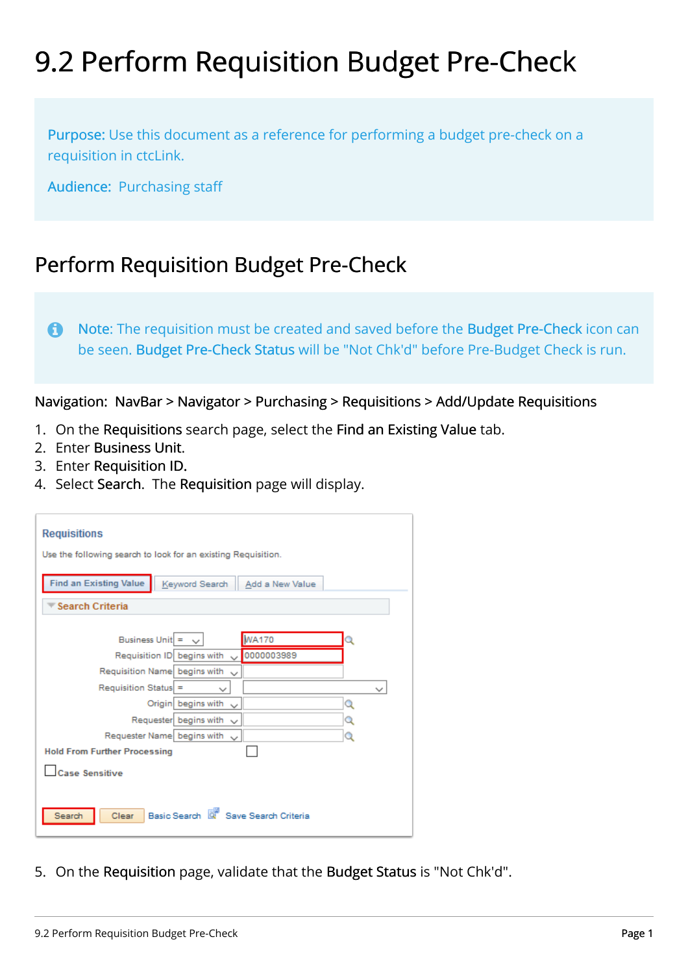## 9.2 Perform Requisition Budget Pre-Check

Purpose: Use this document as a reference for performing a budget pre-check on a requisition in ctcLink.

Audience: Purchasing staff

## Perform Requisition Budget Pre-Check

 Note: The requisition must be created and saved before the Budget Pre-Check icon can be seen. Budget Pre-Check Status will be "Not Chk'd" before Pre-Budget Check is run.

Navigation: NavBar > Navigator > Purchasing > Requisitions > Add/Update Requisitions

- 1. On the Requisitions search page, select the Find an Existing Value tab.
- 2. Enter Business Unit.
- 3. Enter Requisition ID.
- 4. Select Search. The Requisition page will display.

| <b>Requisitions</b>                                                |              |
|--------------------------------------------------------------------|--------------|
| Use the following search to look for an existing Requisition.      |              |
| <b>Find an Existing Value</b><br>Keyword Search<br>Add a New Value |              |
| ▼ Search Criteria                                                  |              |
| <b>WA170</b><br>Business Unit = $\vee$                             | 2            |
| Requisition ID begins with v 0000003989                            |              |
| Requisition Name begins with<br>$\checkmark$                       |              |
|                                                                    |              |
| $Recu is it ion Status$ =<br>◡                                     | $\checkmark$ |
| Origin begins with<br>$\sim$                                       | Q            |
| Requester begins with<br>$\checkmark$                              | Q            |
| Requester Name begins with<br>$\sim$                               | Q            |
| <b>Hold From Further Processing</b>                                |              |
| Case Sensitive                                                     |              |
|                                                                    |              |

5. On the Requisition page, validate that the Budget Status is "Not Chk'd".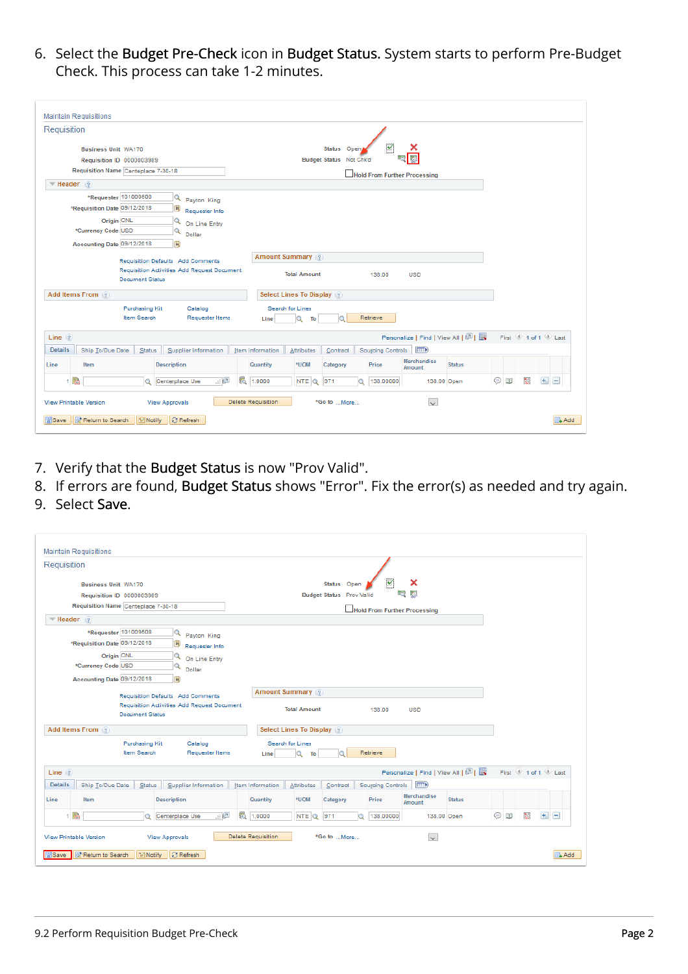6. Select the Budget Pre-Check icon in Budget Status. System starts to perform Pre-Budget Check. This process can take 1-2 minutes.

| Requisition                                              |                           |                                                    |         |                  |                           |                         |   |                          |                              |                                   |           |               |                     |
|----------------------------------------------------------|---------------------------|----------------------------------------------------|---------|------------------|---------------------------|-------------------------|---|--------------------------|------------------------------|-----------------------------------|-----------|---------------|---------------------|
| <b>Business Unit WA170</b>                               |                           |                                                    |         |                  |                           | Status Open             |   | $\overline{\mathbf{v}}$  | x                            |                                   |           |               |                     |
|                                                          | Requisition ID 0000003989 |                                                    |         |                  |                           | Budget Status Not Chk'd |   |                          |                              |                                   |           |               |                     |
| Requisition Name Centeplace 7-30-18                      |                           |                                                    |         |                  |                           |                         |   |                          | Hold From Further Processing |                                   |           |               |                     |
| $\overline{\phantom{a}}$ Header $\overline{\phantom{a}}$ |                           |                                                    |         |                  |                           |                         |   |                          |                              |                                   |           |               |                     |
|                                                          | *Requester 101009508      | $\alpha$<br>Payton King                            |         |                  |                           |                         |   |                          |                              |                                   |           |               |                     |
| *Requisition Date 09/12/2018                             |                           | 31,<br>Requester Info                              |         |                  |                           |                         |   |                          |                              |                                   |           |               |                     |
|                                                          | Origin ONL                | Q<br>On Line Entry                                 |         |                  |                           |                         |   |                          |                              |                                   |           |               |                     |
| *Currency Code USD                                       |                           | Q<br>Dollar                                        |         |                  |                           |                         |   |                          |                              |                                   |           |               |                     |
| Accounting Date 09/12/2018                               |                           | 同                                                  |         |                  |                           |                         |   |                          |                              |                                   |           |               |                     |
|                                                          |                           | Requisition Defaults Add Comments                  |         |                  | <b>Amount Summary</b>     |                         |   |                          |                              |                                   |           |               |                     |
|                                                          |                           | <b>Requisition Activities Add Request Document</b> |         |                  | <b>Total Amount</b>       |                         |   |                          |                              |                                   |           |               |                     |
|                                                          | <b>Document Status</b>    |                                                    |         |                  |                           |                         |   | 138.00                   | <b>USD</b>                   |                                   |           |               |                     |
| Add Items From 2                                         |                           |                                                    |         |                  | Select Lines To Display 2 |                         |   |                          |                              |                                   |           |               |                     |
|                                                          | Purchasing Kit            | Catalog                                            |         |                  | Search for Lines          |                         |   |                          |                              |                                   |           |               |                     |
|                                                          | Item Search               | <b>Requester Items</b>                             |         | Line             | Q<br>To                   |                         |   | Retrieve                 |                              |                                   |           |               |                     |
|                                                          |                           |                                                    |         |                  |                           |                         |   |                          |                              |                                   |           |               |                     |
| $Line \ (2)$                                             |                           |                                                    |         |                  |                           |                         |   |                          |                              | Personalize   Find   View All   2 |           |               | First 1 of 1 2 Last |
| <b>Details</b><br>Ship To/Due Date                       | <b>Status</b>             | Supplier Information                               |         | Item Information | Attributes                | Contract                |   | <b>Sourcing Controls</b> | (FFFE)                       |                                   |           |               |                     |
|                                                          |                           | <b>Description</b>                                 |         | Quantity         | *UOM                      | Category                |   | Price                    | Merchandise<br>Amount        | <b>Status</b>                     |           |               |                     |
| Item<br>Line                                             | $\bullet$                 | Centerplace Use                                    | 6<br>田園 | 1.0000           | NTE Q                     | 971                     | Q | 138.00000                | 138.00 Open                  |                                   | $\circ$ 0 | $\frac{1}{2}$ | $+$ $-$             |
| 1 階                                                      |                           |                                                    |         |                  |                           |                         |   |                          |                              |                                   |           |               |                     |

- 7. Verify that the Budget Status is now "Prov Valid".
- 8. If errors are found, Budget Status shows "Error". Fix the error(s) as needed and try again.
- 9. Select Save.

| Requisition                         |                                                                           |                         |                                             |  |                       |                                              |          |                   |                                   |               |           |                 |                     |
|-------------------------------------|---------------------------------------------------------------------------|-------------------------|---------------------------------------------|--|-----------------------|----------------------------------------------|----------|-------------------|-----------------------------------|---------------|-----------|-----------------|---------------------|
|                                     | $\overline{\mathbf{v}}$<br>x<br>Status Open<br><b>Business Unit WA170</b> |                         |                                             |  |                       |                                              |          |                   |                                   |               |           |                 |                     |
|                                     | Requisition ID 0000003989                                                 |                         |                                             |  |                       | 痬<br>ligi<br><b>Budget Status Prov Valid</b> |          |                   |                                   |               |           |                 |                     |
| Requisition Name Centeplace 7-30-18 |                                                                           |                         | Hold From Further Processing                |  |                       |                                              |          |                   |                                   |               |           |                 |                     |
| $\blacktriangledown$ Header (2)     |                                                                           |                         |                                             |  |                       |                                              |          |                   |                                   |               |           |                 |                     |
|                                     | *Requester 101009508                                                      | $\alpha$                | Payton King                                 |  |                       |                                              |          |                   |                                   |               |           |                 |                     |
| *Requisition Date 09/12/2018        |                                                                           | $\overline{\mathbf{H}}$ | Requester Info                              |  |                       |                                              |          |                   |                                   |               |           |                 |                     |
|                                     | Origin ONL                                                                | Q                       | On Line Entry                               |  |                       |                                              |          |                   |                                   |               |           |                 |                     |
| *Currency Code USD                  |                                                                           | Q                       | Dollar                                      |  |                       |                                              |          |                   |                                   |               |           |                 |                     |
| Accounting Date 09/12/2018          |                                                                           | n                       |                                             |  |                       |                                              |          |                   |                                   |               |           |                 |                     |
|                                     |                                                                           |                         | Requisition Defaults Add Comments           |  | <b>Amount Summary</b> |                                              |          |                   |                                   |               |           |                 |                     |
|                                     | <b>Document Status</b>                                                    |                         | Requisition Activities Add Request Document |  |                       | <b>Total Amount</b>                          |          | 138.00            | <b>USD</b>                        |               |           |                 |                     |
| Add Items From 2                    |                                                                           |                         |                                             |  |                       | Select Lines To Display 2                    |          |                   |                                   |               |           |                 |                     |
|                                     | Purchasing Kit<br>Item Search                                             |                         | Catalog<br><b>Requester Items</b>           |  | Line                  | Search for Lines<br>Q<br>To                  |          | Retrieve          |                                   |               |           |                 |                     |
| Line $(2)$                          |                                                                           |                         |                                             |  |                       |                                              |          |                   | Personalize   Find   View All   2 |               |           |                 | First 1 of 1 D Last |
| <b>Details</b><br>Ship To/Due Date  | Status                                                                    |                         | Supplier Information                        |  | Item Information      | Attributes                                   | Contract | Sourcing Controls | (111)                             |               |           |                 |                     |
| Line<br>Item                        |                                                                           | <b>Description</b>      |                                             |  | Quantity              | *UOM                                         | Category | Price             | <b>Merchandise</b><br>Amount      | <b>Status</b> |           |                 |                     |
| 1 階                                 | Q                                                                         | Centerplace Use         | 山區                                          |  | 6 1.0000              | NTE Q                                        | 971<br>Q | 138.00000         | 138.00 Open                       |               | $\odot$ 0 | $\overline{10}$ | $+$ $-$             |
|                                     |                                                                           |                         |                                             |  |                       |                                              |          |                   |                                   |               |           |                 |                     |